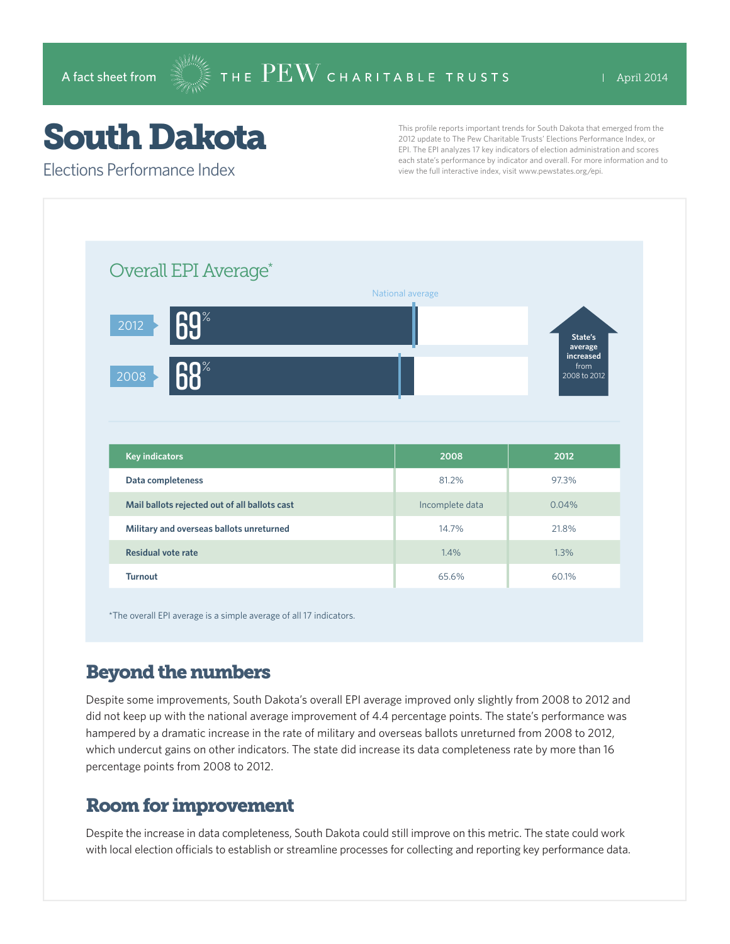## South Dakota

Elections Performance Index

This profile reports important trends for South Dakota that emerged from the 2012 update to The Pew Charitable Trusts' Elections Performance Index, or EPI. The EPI analyzes 17 key indicators of election administration and scores each state's performance by indicator and overall. For more information and to view the full interactive index, visit www.pewstates.org/epi.

|                                                         |       | National average |                                               |
|---------------------------------------------------------|-------|------------------|-----------------------------------------------|
|                                                         |       |                  |                                               |
| State's<br>average<br>increased<br>from<br>2008 to 2012 |       |                  | $\mathsf{69}^*$<br>2012                       |
|                                                         |       |                  | <b>68%</b><br>2008                            |
|                                                         |       |                  |                                               |
| 2012                                                    |       |                  |                                               |
|                                                         |       | 2008             | <b>Key indicators</b>                         |
| 97.3%                                                   |       | 81.2%            | Data completeness                             |
|                                                         | 0.04% | Incomplete data  | Mail ballots rejected out of all ballots cast |
| 21.8%                                                   |       | 14.7%            | Military and overseas ballots unreturned      |
|                                                         |       |                  |                                               |

\*The overall EPI average is a simple average of all 17 indicators.

## Beyond the numbers

Despite some improvements, South Dakota's overall EPI average improved only slightly from 2008 to 2012 and did not keep up with the national average improvement of 4.4 percentage points. The state's performance was hampered by a dramatic increase in the rate of military and overseas ballots unreturned from 2008 to 2012, which undercut gains on other indicators. The state did increase its data completeness rate by more than 16 percentage points from 2008 to 2012.

## Room for improvement

Despite the increase in data completeness, South Dakota could still improve on this metric. The state could work with local election officials to establish or streamline processes for collecting and reporting key performance data.